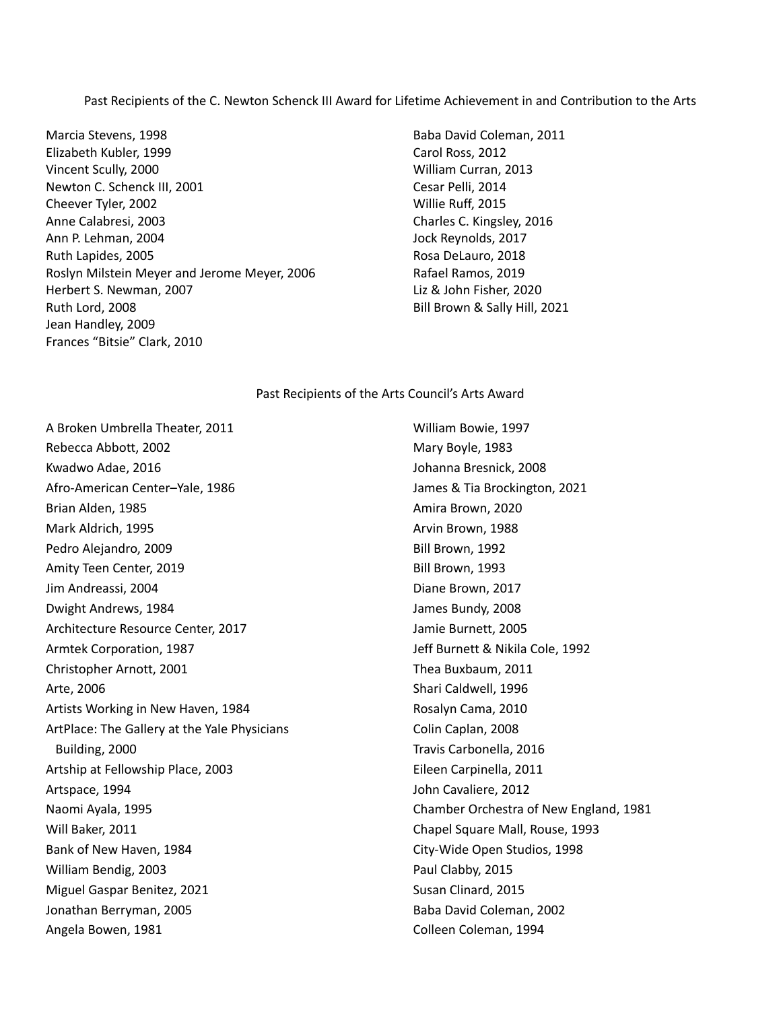Past Recipients of the C. Newton Schenck III Award for Lifetime Achievement in and Contribution to the Arts

Marcia Stevens, 1998 Elizabeth Kubler, 1999 Vincent Scully, 2000 Newton C. Schenck III, 2001 Cheever Tyler, 2002 Anne Calabresi, 2003 Ann P. Lehman, 2004 Ruth Lapides, 2005 Roslyn Milstein Meyer and Jerome Meyer, 2006 Herbert S. Newman, 2007 Ruth Lord, 2008 Jean Handley, 2009 Frances "Bitsie" Clark, 2010

Baba David Coleman, 2011 Carol Ross, 2012 William Curran, 2013 Cesar Pelli, 2014 Willie Ruff, 2015 Charles C. Kingsley, 2016 Jock Reynolds, 2017 Rosa DeLauro, 2018 Rafael Ramos, 2019 Liz & John Fisher, 2020 Bill Brown & Sally Hill, 2021

## Past Recipients of the Arts Council's Arts Award

A Broken Umbrella Theater, 2011 Rebecca Abbott, 2002 Kwadwo Adae, 2016 Afro-American Center–Yale, 1986 Brian Alden, 1985 Mark Aldrich, 1995 Pedro Alejandro, 2009 Amity Teen Center, 2019 Jim Andreassi, 2004 Dwight Andrews, 1984 Architecture Resource Center, 2017 Armtek Corporation, 1987 Christopher Arnott, 2001 Arte, 2006 Artists Working in New Haven, 1984 ArtPlace: The Gallery at the Yale Physicians Building, 2000 Artship at Fellowship Place, 2003 Artspace, 1994 Naomi Ayala, 1995 Will Baker, 2011 Bank of New Haven, 1984 William Bendig, 2003 Miguel Gaspar Benitez, 2021 Jonathan Berryman, 2005 Angela Bowen, 1981

William Bowie, 1997 Mary Boyle, 1983 Johanna Bresnick, 2008 James & Tia Brockington, 2021 Amira Brown, 2020 Arvin Brown, 1988 Bill Brown, 1992 Bill Brown, 1993 Diane Brown, 2017 James Bundy, 2008 Jamie Burnett, 2005 Jeff Burnett & Nikila Cole, 1992 Thea Buxbaum, 2011 Shari Caldwell, 1996 Rosalyn Cama, 2010 Colin Caplan, 2008 Travis Carbonella, 2016 Eileen Carpinella, 2011 John Cavaliere, 2012 Chamber Orchestra of New England, 1981 Chapel Square Mall, Rouse, 1993 City-Wide Open Studios, 1998 Paul Clabby, 2015 Susan Clinard, 2015 Baba David Coleman, 2002 Colleen Coleman, 1994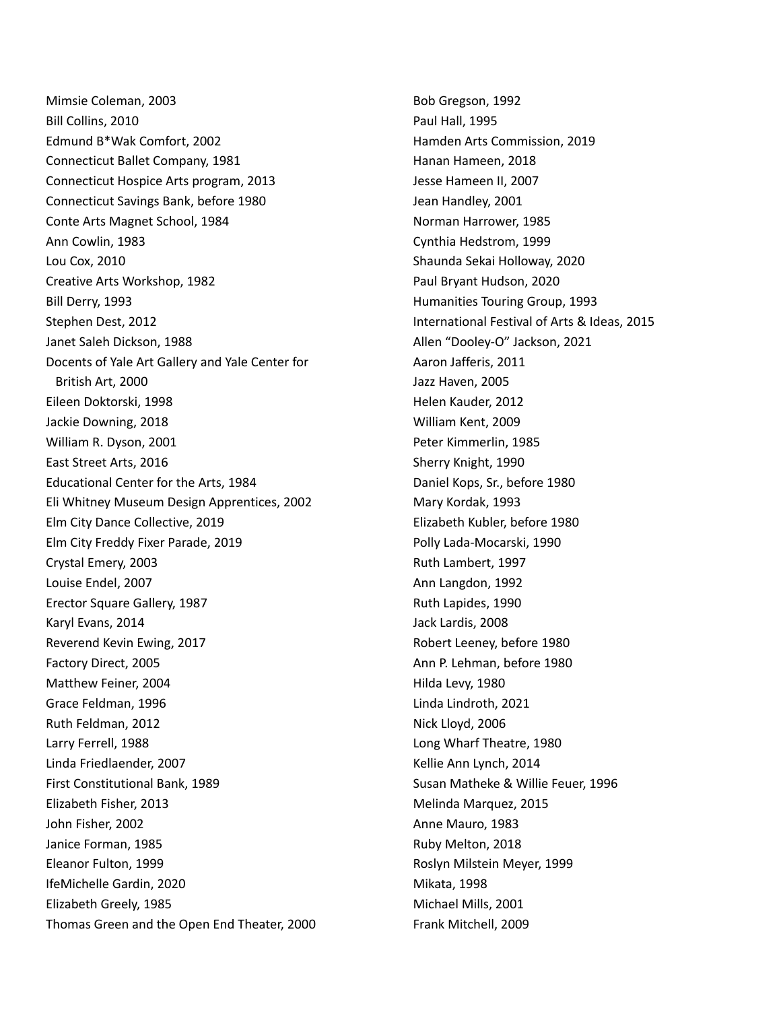Mimsie Coleman, 2003 Bill Collins, 2010 Edmund B\*Wak Comfort, 2002 Connecticut Ballet Company, 1981 Connecticut Hospice Arts program, 2013 Connecticut Savings Bank, before 1980 Conte Arts Magnet School, 1984 Ann Cowlin, 1983 Lou Cox, 2010 Creative Arts Workshop, 1982 Bill Derry, 1993 Stephen Dest, 2012 Janet Saleh Dickson, 1988 Docents of Yale Art Gallery and Yale Center for British Art, 2000 Eileen Doktorski, 1998 Jackie Downing, 2018 William R. Dyson, 2001 East Street Arts, 2016 Educational Center for the Arts, 1984 Eli Whitney Museum Design Apprentices, 2002 Elm City Dance Collective, 2019 Elm City Freddy Fixer Parade, 2019 Crystal Emery, 2003 Louise Endel, 2007 Erector Square Gallery, 1987 Karyl Evans, 2014 Reverend Kevin Ewing, 2017 Factory Direct, 2005 Matthew Feiner, 2004 Grace Feldman, 1996 Ruth Feldman, 2012 Larry Ferrell, 1988 Linda Friedlaender, 2007 First Constitutional Bank, 1989 Elizabeth Fisher, 2013 John Fisher, 2002 Janice Forman, 1985 Eleanor Fulton, 1999 IfeMichelle Gardin, 2020 Elizabeth Greely, 1985 Thomas Green and the Open End Theater, 2000

Bob Gregson, 1992 Paul Hall, 1995 Hamden Arts Commission, 2019 Hanan Hameen, 2018 Jesse Hameen II, 2007 Jean Handley, 2001 Norman Harrower, 1985 Cynthia Hedstrom, 1999 Shaunda Sekai Holloway, 2020 Paul Bryant Hudson, 2020 Humanities Touring Group, 1993 International Festival of Arts & Ideas, 2015 Allen "Dooley-O" Jackson, 2021 Aaron Jafferis, 2011 Jazz Haven, 2005 Helen Kauder, 2012 William Kent, 2009 Peter Kimmerlin, 1985 Sherry Knight, 1990 Daniel Kops, Sr., before 1980 Mary Kordak, 1993 Elizabeth Kubler, before 1980 Polly Lada-Mocarski, 1990 Ruth Lambert, 1997 Ann Langdon, 1992 Ruth Lapides, 1990 Jack Lardis, 2008 Robert Leeney, before 1980 Ann P. Lehman, before 1980 Hilda Levy, 1980 Linda Lindroth, 2021 Nick Lloyd, 2006 Long Wharf Theatre, 1980 Kellie Ann Lynch, 2014 Susan Matheke & Willie Feuer, 1996 Melinda Marquez, 2015 Anne Mauro, 1983 Ruby Melton, 2018 Roslyn Milstein Meyer, 1999 Mikata, 1998 Michael Mills, 2001 Frank Mitchell, 2009